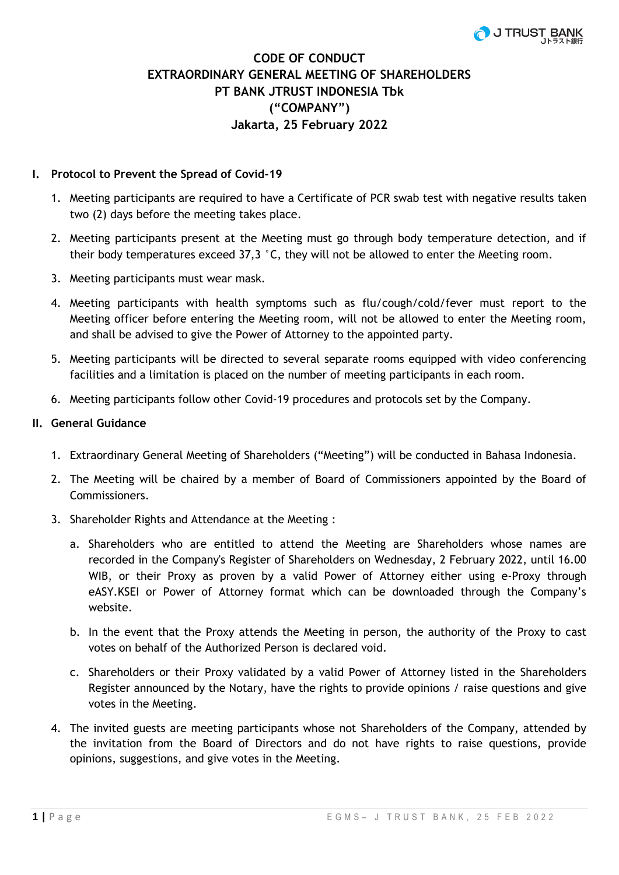# **CODE OF CONDUCT EXTRAORDINARY GENERAL MEETING OF SHAREHOLDERS PT BANK JTRUST INDONESIA Tbk ("COMPANY") Jakarta, 25 February 2022**

# **I. Protocol to Prevent the Spread of Covid-19**

- 1. Meeting participants are required to have a Certificate of PCR swab test with negative results taken two (2) days before the meeting takes place.
- 2. Meeting participants present at the Meeting must go through body temperature detection, and if their body temperatures exceed 37,3 °C, they will not be allowed to enter the Meeting room.
- 3. Meeting participants must wear mask.
- 4. Meeting participants with health symptoms such as flu/cough/cold/fever must report to the Meeting officer before entering the Meeting room, will not be allowed to enter the Meeting room, and shall be advised to give the Power of Attorney to the appointed party.
- 5. Meeting participants will be directed to several separate rooms equipped with video conferencing facilities and a limitation is placed on the number of meeting participants in each room.
- 6. Meeting participants follow other Covid-19 procedures and protocols set by the Company.

## **II. General Guidance**

- 1. Extraordinary General Meeting of Shareholders ("Meeting") will be conducted in Bahasa Indonesia.
- 2. The Meeting will be chaired by a member of Board of Commissioners appointed by the Board of Commissioners.
- 3. Shareholder Rights and Attendance at the Meeting :
	- a. Shareholders who are entitled to attend the Meeting are Shareholders whose names are recorded in the Company's Register of Shareholders on Wednesday, 2 February 2022, until 16.00 WIB, or their Proxy as proven by a valid Power of Attorney either using e-Proxy through eASY.KSEI or Power of Attorney format which can be downloaded through the Company's website.
	- b. In the event that the Proxy attends the Meeting in person, the authority of the Proxy to cast votes on behalf of the Authorized Person is declared void.
	- c. Shareholders or their Proxy validated by a valid Power of Attorney listed in the Shareholders Register announced by the Notary, have the rights to provide opinions / raise questions and give votes in the Meeting.
- 4. The invited guests are meeting participants whose not Shareholders of the Company, attended by the invitation from the Board of Directors and do not have rights to raise questions, provide opinions, suggestions, and give votes in the Meeting.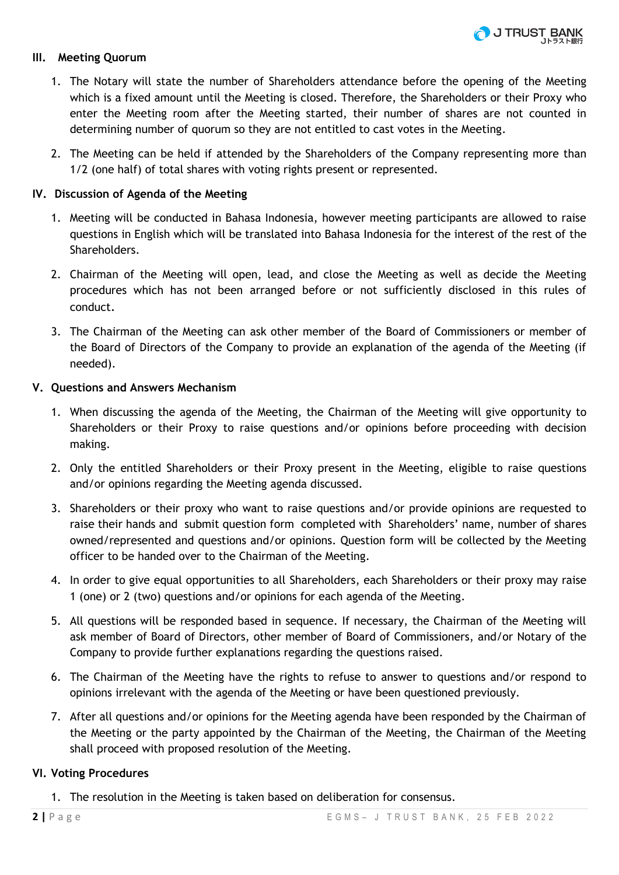# **III. Meeting Quorum**

- 1. The Notary will state the number of Shareholders attendance before the opening of the Meeting which is a fixed amount until the Meeting is closed. Therefore, the Shareholders or their Proxy who enter the Meeting room after the Meeting started, their number of shares are not counted in determining number of quorum so they are not entitled to cast votes in the Meeting.
- 2. The Meeting can be held if attended by the Shareholders of the Company representing more than 1/2 (one half) of total shares with voting rights present or represented.

# **IV. Discussion of Agenda of the Meeting**

- 1. Meeting will be conducted in Bahasa Indonesia, however meeting participants are allowed to raise questions in English which will be translated into Bahasa Indonesia for the interest of the rest of the Shareholders.
- 2. Chairman of the Meeting will open, lead, and close the Meeting as well as decide the Meeting procedures which has not been arranged before or not sufficiently disclosed in this rules of conduct.
- 3. The Chairman of the Meeting can ask other member of the Board of Commissioners or member of the Board of Directors of the Company to provide an explanation of the agenda of the Meeting (if needed).

## **V. Questions and Answers Mechanism**

- 1. When discussing the agenda of the Meeting, the Chairman of the Meeting will give opportunity to Shareholders or their Proxy to raise questions and/or opinions before proceeding with decision making.
- 2. Only the entitled Shareholders or their Proxy present in the Meeting, eligible to raise questions and/or opinions regarding the Meeting agenda discussed.
- 3. Shareholders or their proxy who want to raise questions and/or provide opinions are requested to raise their hands and submit question form completed with Shareholders' name, number of shares owned/represented and questions and/or opinions. Question form will be collected by the Meeting officer to be handed over to the Chairman of the Meeting.
- 4. In order to give equal opportunities to all Shareholders, each Shareholders or their proxy may raise 1 (one) or 2 (two) questions and/or opinions for each agenda of the Meeting.
- 5. All questions will be responded based in sequence. If necessary, the Chairman of the Meeting will ask member of Board of Directors, other member of Board of Commissioners, and/or Notary of the Company to provide further explanations regarding the questions raised.
- 6. The Chairman of the Meeting have the rights to refuse to answer to questions and/or respond to opinions irrelevant with the agenda of the Meeting or have been questioned previously.
- 7. After all questions and/or opinions for the Meeting agenda have been responded by the Chairman of the Meeting or the party appointed by the Chairman of the Meeting, the Chairman of the Meeting shall proceed with proposed resolution of the Meeting.

## **VI. Voting Procedures**

1. The resolution in the Meeting is taken based on deliberation for consensus.